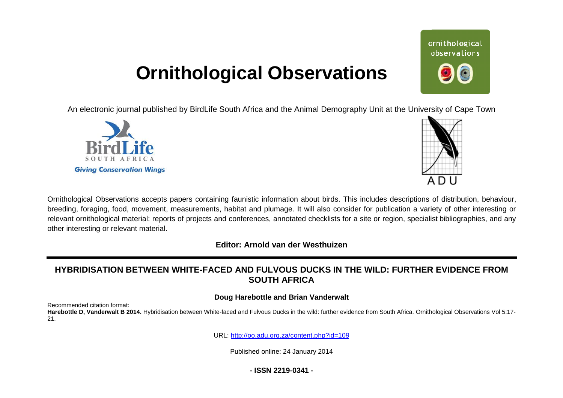# **Ornithological Observations**

An electronic journal published by BirdLife South Africa and the Animal Demography Unit at the University of Cape Town





ornithological observations

Ornithological Observations accepts papers containing faunistic information about birds. This includes descriptions of distribution, behaviour, breeding, foraging, food, movement, measurements, habitat and plumage. It will also consider for publication a variety of other interesting or relevant ornithological material: reports of projects and conferences, annotated checklists for a site or region, specialist bibliographies, and any other interesting or relevant material.

**Editor: Arnold van der Westhuizen**

## <code>HYBRIDISATION BETWEEN WHITE-FACED AND FULVOUS DUCKS IN THE WILD: FURTHER EVIDENCE FROM</code> **SOUTH AFRICA**

### **Doug Harebottle and Brian Vanderwalt**

Recommended citation format:

Harebottle D, Vanderwalt B 2014. Hybridisation between White-faced and Fulvous Ducks in the wild: further evidence from South Africa. Ornithological Observations Vol 5:17-21.

URL: <http://oo.adu.org.za/content.php?id=109>

Published online: 24 January 2014

**- ISSN 2219-0341 -**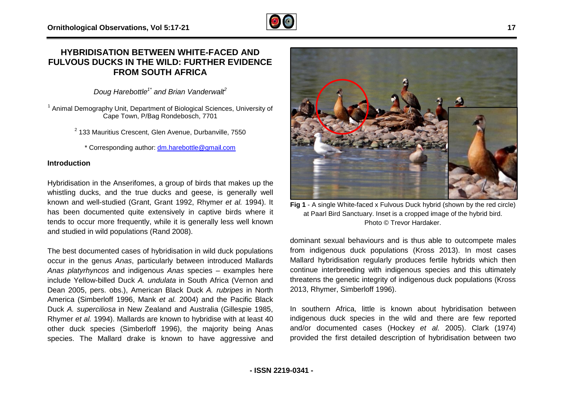## **HYBRIDISATION BETWEEN WHITE-FACED AND**  HYBRIDISATION BETWEEN WHITE-FACED AND<br>FULVOUS DUCKS IN THE WILD: FURTHER EVIDENCE **FROM SOUTH AFRICA**

*Doug Harebottle1\* and Brian Vanderwalt 2* 

<sup>1</sup> Animal Demography Unit, Department of Biological Sciences, University of Cape Town, P/Bag Rondebosch, 7701

<sup>2</sup> 133 Mauritius Crescent, Glen Avenue, Durbanville, 7550

33 Mauritius Crescent, Glen Avenue, Durbanville, 75<br>\* Corresponding author: <u>dm.harebottle@gmail.com</u>

#### **Introduction**

Hybridisation in the Anserifomes, a group of birds that makes up the whistling ducks, and the true ducks and geese, is generally well known and well-studied (Grant, Grant 1992, Rhymer *et al.* 1994). It has been documented quite extensively in captive birds where it tends to occur more frequently, while it is generally less well known and studied in wild populations (Rand 2008).

The best documented cases of hybridisation in wild duck populat populations occur in the genus *Anas*, particularly between introduced Mallards *Anas platyrhyncos* and indigenous *Anas* species – examples here include Yellow-billed Duck *A. undulata* in South Africa (Vernon and Dean 2005, pers. obs.), American Black Duck *A. rubripes* in North America (Simberloff 1996, Mank *et al.* 2004) and the Pacific Black Duck *A. superciliosa* in New Zealand and Australia (Gillespie 1985, Rhymer *et al.* 1994). Mallards are known to hybridise with at least 40 other duck species (Simberloff 1996), the majority being Anas species. The Mallard drake is known to have aggressive and



Fig 1 - A single White-faced x Fulvous Duck hybrid (shown by the red circle)<br>ive birds where it<br>at Paarl Bird Sanctuary. Inset is a cropped image of the hybrid bird.<br>Photo © Trevor Hardaker.<br>dominant sexual behaviours and dominant sexual behaviours and is thus able to outcompete males dominant sexual behaviours and is thus able to outcompete males<br>from indigenous duck populations (Kross 2013). In most cases Mallard hybridisation regularly produces fertile hybrids which then continue interbreeding with indigenous species and this ultimately threatens the genetic integrity of indigenous duck populations (Kross 2013, Rhymer, Simberloff 1996).

In southern Africa, little is known about hybridisation between In southern Africa, little is known about hybridisation between<br>indigenous duck species in the wild and there are few reported and/or documented cases (Hockey *et al. et al.* 2005). Clark (1974) provided the first detailed description of hybridisation between two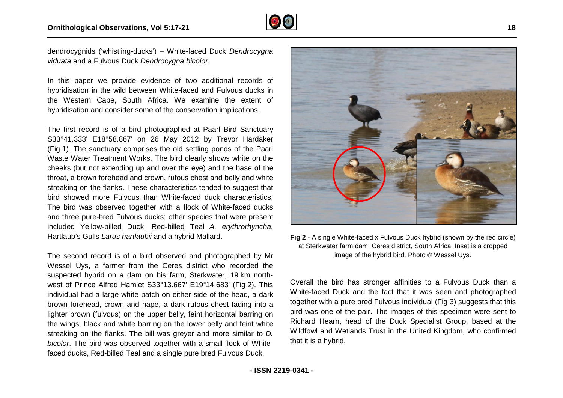

dendrocygnids ('whistling-ducks') – White-faced Duck faced*Dendrocygna viduata* and a Fulvous Duck *Dendrocygna bicolor*.

In this paper we provide evidence of two additional records of hybridisation in the wild between White-faced and Fulvous ducks in the Western Cape, South Africa. We examine the extent of hybridisation and consider some of the conservation implications. lisation in the wild between White-faced and Fulvous ducks in<br>Vestern Cape, South Africa. We examine the extent of<br>lisation and consider some of the conservation implications.<br>irst record is of a bird photographed at Paarl

The first record is of a bird photographed at Paarl Bird Sanctuary S33°41.333' E18°58.867' on 26 May 2012 by Trevor Hardaker (Fig 1). The sanctuary comprises the old settling ponds of the Pa Waste Water Treatment Works. The bird clearly shows white on the cheeks (but not extending up and over the eye) and the base of the throat, a brown forehead and crown, rufous chest and belly and white streaking on the flanks. These characteristics tended to suggest that bird showed more Fulvous than White-faced duck characteristics. streaking on the flanks. These characteristics tended to suggest that<br>bird showed more Fulvous than White-faced duck characteristics.<br>The bird was observed together with a flock of White-faced ducks and three pure-bred Fulvous ducks; other species that were present and three pure-bred Fulvous ducks; other species that were present<br>included Yellow-billed Duck, Red-billed Teal *A. erythrorhyncha*, Hartlaub's Gulls *Larus hartlaubii* and a hybrid Mallard.

The second record is of a bird observed and photographed by Mr Wessel Uys, a farmer from the Ceres district who recorded the suspected hybrid on a dam on his farm, Sterkwater, 19 km northwest of Prince Alfred Hamlet S33°13.667' E19°14.683' (Fig 2). This individual had a large white patch on either side of the head, a dark brown forehead, crown and nape, a dark rufous chest fading into a lighter brown (fulvous) on the upper belly, feint horizontal barring on the wings, black and white barring on the lower belly and feint white streaking on the flanks. The bill was greyer and more similar to *D. bicolor*. The bird was observed together with a small flock of Whitefaced ducks, Red-billed Teal and a single pure bred Fulvous Duck. arus hartlaubii and a hybrid Mallard.<br>
billed Tead at Sterkwater farm dam, Ceres district, South Africa. Inset is a cropped<br>
image of the hybrid billed. Photo @ Wessel Uys.<br>
and the ceres district who recorded the<br>
on a da



**18** 

**j 2** - A single White-faced x Fulvous Duck hybrid (shown by the red circl<br>at Sterkwater farm dam, Ceres district, South Africa. Inset is a cropped image of the hybrid bird. Photo © Wessel Uys.

Overall the bird has stronger affinities to a Fulvous Duck than a White-faced Duck and the fact that it was seen and photographed together with a pure bred Fulvous individual ( bird was one of the pair. The images of this specimen were sent to bird was one of the pair. The images of this specimen were sent to<br>Richard Hearn, head of the Duck Specialist Group, based at the Wildfowl and Wetlands Trust in the United Kingdom, who confirmed that it is a hybrid. I the bird has stronger affinities to a Fulvous Duck than a<br>faced Duck and the fact that it was seen and photographed<br>er with a pure bred Fulvous individual (Fig 3) suggests that this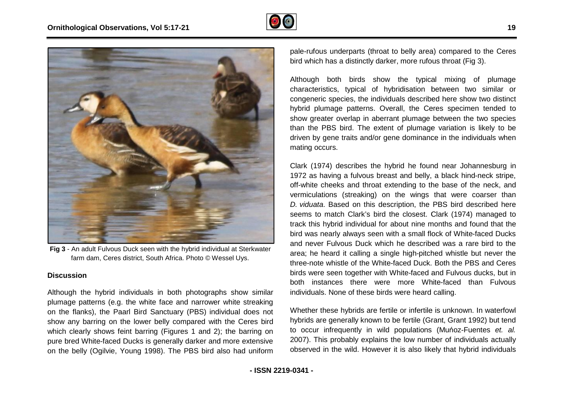



**Fig 3** - An adult Fulvous Duck seen with the hybrid individual at Sterkwater farm dam, Ceres district, South Africa. Photo © Wessel Uys.

#### **Discussion**

Although the hybrid individuals in both photographs show similar plumage patterns (e.g. the white face and narrower white streaking on the flanks), the Paarl Bird Sanctuary (PBS) individual does not show any barring on the lower belly compared with the Ceres bird which clearly shows feint barring (Figures 1 and 2); the barring on pure bred White-faced Ducks is generally darker and on the belly (Ogilvie, Young 1998). The PBS bird also had uniform s (e.g. the white face and narrower white streaking<br>he Paarl Bird Sanctuary (PBS) individual does not<br>g on the lower belly compared with the Ceres bird<br>ows feint barring (Figures 1 and 2); the barring on<br>faced Ducks is gen

pale-rufous underparts (throat to belly area) compared to the Ceres<br>bird which has a distinctly darker, more rufous throat (Fig 3). bird which has a distinctly darker, more rufous throat (Fig 3).

Although both birds show the typical mixing of plumage characteristics, typical of hybridisation between two similar or between congeneric species, the individuals described here show two distinct hybrid plumage patterns. Overall, the Ceres specimen tended to show greater overlap in aberrant plumage between the two species than the PBS bird. The extent of plumage variation is likely to be driven by gene traits and/or gene dominance in the individuals when mating occurs. hybrid plumage patterns. Overall, the Ceres specimen tended to show greater overlap in aberrant plumage between the two species than the PBS bird. The extent of plumage variation is likely to be driven by gene traits and/o

Clark (1974) describes the hybrid he found near Johannesburg in 1972 as having a fulvous breast and belly, a black hind-neck stripe, off-white cheeks and throat extending to the base of the neck, and off-white cheeks and throat extending to the base of the neck, and<br>vermiculations (streaking) on the wings that were coarser than *D. viduata*. Based on this description, the PBS bird described here D. viduata. Based on this description, the PBS bird described here seems to match Clark's bird the closest. Clark (1974) managed to track this hybrid individual for about nine months and found that the bird was nearly always seen with a small flock of White-faced Ducks and never Fulvous Duck which he described was a rare bird to the area; he heard it calling a single high-pitched whistle but never the three-note whistle of the White-faced Duck. Both the PBS and Ceres birds were seen together with White-faced and Fulvous ducks, but in both instances there were more White-faced than Fulvous individuals. None of these birds were heard calling.

Whether these hybrids are fertile or infertile is unknown. In waterfowl Whether these hybrids are fertile or infertile is unknown. In waterfowl<br>hybrids are generally known to be fertile (Grant, Grant 1992) but tend to occur infrequently in wild populations (Muńoz-Fuentes et. al. 2007). This probably explains the low number of individuals actually 2007). This probably explains the low number of individuals actually<br>observed in the wild. However it is also likely that hybrid individuals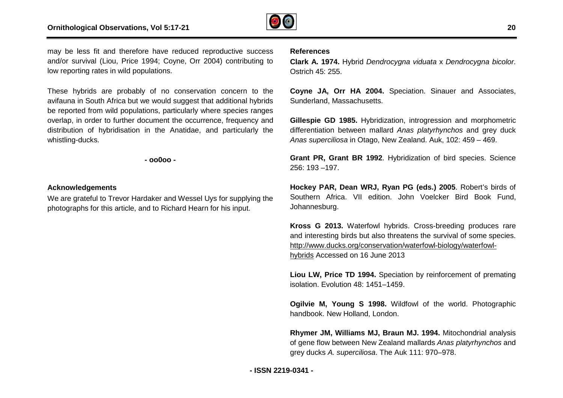

may be less fit and therefore have reduced reproductive success and/or survival (Liou, Price 1994; Coyne, Orr 2004) contributing to low reporting rates in wild populations.

These hybrids are probably of no conservation concern to the avifauna in South Africa but we would suggest that additional hybrids be reported from wild populations, particularly where species ranges overlap, in order to further document the occurrence, frequency and distribution of hybridisation in the Anatidae, and particularly the whistling-ducks. ticularly where species ranges<br>the occurrence, frequency and<br>\natidae, and particularly the<br>-<br>d Wessel Uys for supplying the

**- oo0oo -** 

#### **Acknowledgements**

We are grateful to Trevor Hardaker and Wessel Uys for supplying the photographs for this article, and to Richard Hearn for his input.

#### **References**

**Clark A. 1974.** Hybrid *Dendrocygna viduata Dendrocygna* x *Dendrocygna bicolor*. Ostrich 45: 255.

**Coyne JA, Orr HA 2004.** Speciation. Sinauer and Associates, Sunderland, Massachusetts.

Gillespie GD 1985. Hybridization, introgression and morphometric differentiation between mallard *Anas platyrhynchos* and grey duck *Anas superciliosa* in Otago, New Zealand. Auk, 102: 459 – 469.

**Grant PR, Grant BR 1992**. Hybridization of bi bird species. Science 256: 193 –197.

**Hockey PAR, Dean WRJ, Ryan PG (eds.) PG 2005**. Robert's birds of Southern Africa. VII edition. John Voelcker Bird Book Fund, Johannesburg. Southern Africa. VII edition. John Voelcker Bird Book Fund,<br>Johannesburg.<br>**Kross G 2013.** Waterfowl hybrids. Cross-breeding produces rare

and interesting birds but also threatens the survival of some species. <http://www.ducks.org/conservation/waterfowl> http://www.ducks.org/conservation/waterfowl-biology/waterfowlhybrids Accessed on 16 June 2013

Liou LW, Price TD 1994. Speciation by reinforcement of premating isolation. Evolution 48: 1451–1459.

**Ogilvie M, Young S 1998.** Wildfowl of the world. Photographic handbook. New Holland, London.

**Rhymer JM, Williams MJ, Braun MJ. 1994 1994.** Mitochondrial analysis of gene flow between New Zealand mallards Anas platyrhynchos and grey ducks *A. superciliosa*. The Auk 111: 970 970–978.